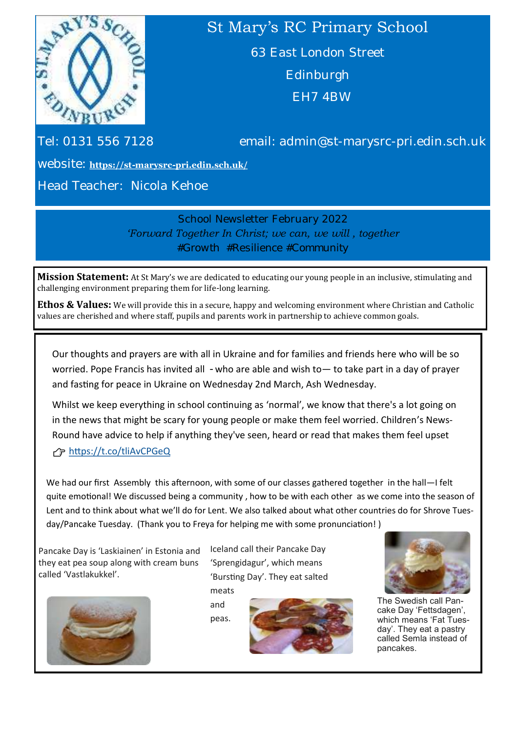

# St Mary's RC Primary School

63 East London Street Edinburgh EH7 4BW

Tel: 0131 556 7128 email: admin@st-marysrc-pri.edin.sch.uk

website: **https://st-marysrc-[pri.edin.sch.uk/](https://st-marysrc-pri.edin.sch.uk/)**

Head Teacher: Nicola Kehoe

School Newsletter February 2022 *'Forward Together In Christ; we can, we will , together #Growth #Resilience #Community*

**Mission Statement:** At St Mary's we are dedicated to educating our young people in an inclusive, stimulating and challenging environment preparing them for life-long learning.

**Ethos & Values:** We will provide this in a secure, happy and welcoming environment where Christian and Catholic values are cherished and where staff, pupils and parents work in partnership to achieve common goals.

Our thoughts and prayers are with all in Ukraine and for families and friends here who will be so worried. Pope Francis has invited all - who are able and wish to - to take part in a day of prayer and fasting for peace in Ukraine on Wednesday 2nd March, Ash Wednesday.

Whilst we keep everything in school continuing as 'normal', we know that there's a lot going on in the news that might be scary for young people or make them feel worried. Children's News-Round have advice to help if anything they've seen, heard or read that makes them feel upset

#### <https://t.co/tliAvCPGeQ>

We had our first Assembly this afternoon, with some of our classes gathered together in the hall—I felt quite emotional! We discussed being a community , how to be with each other as we come into the season of Lent and to think about what we'll do for Lent. We also talked about what other countries do for Shrove Tuesday/Pancake Tuesday. (Thank you to Freya for helping me with some pronunciation! )

Pancake Day is 'Laskiainen' in Estonia and they eat pea soup along with cream buns called 'Vastlakukkel'.



Iceland call their Pancake Day 'Sprengidagur', which means 'Bursting Day'. They eat salted meats

and peas.





The Swedish call Pancake Day 'Fettsdagen', which means 'Fat Tuesday'. They eat a pastry called Semla instead of pancakes.